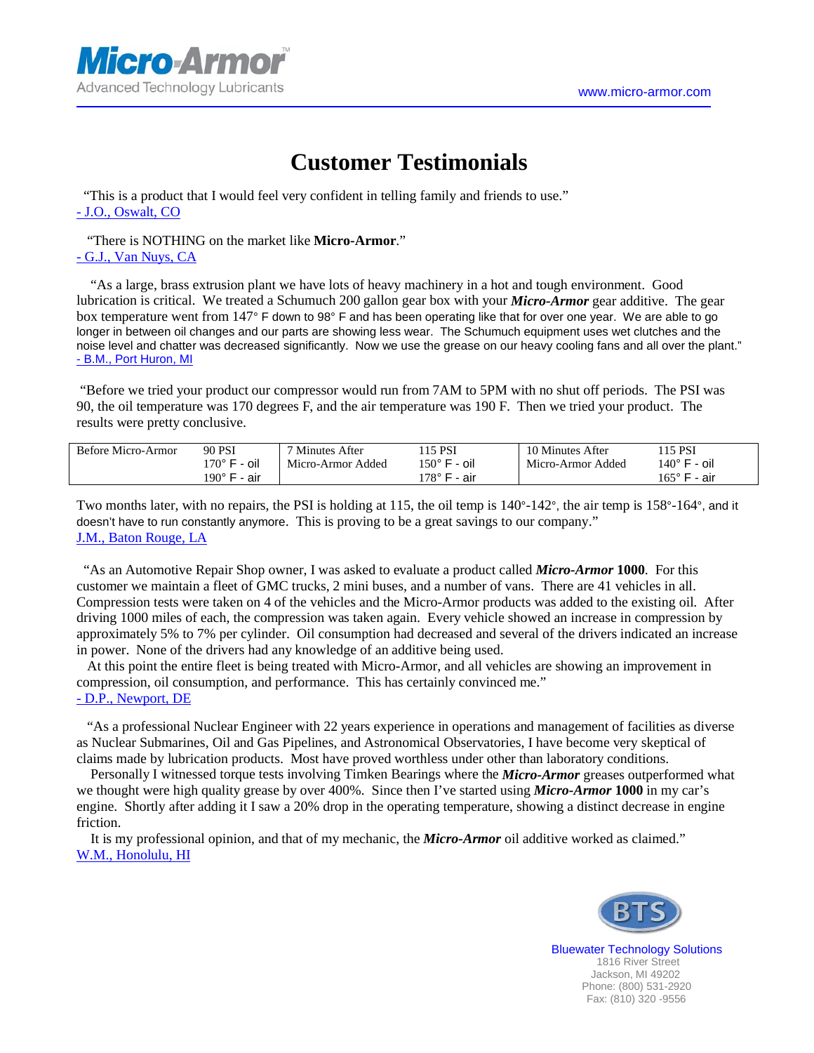

## **Customer Testimonials**

 "This is a product that I would feel very confident in telling family and friends to use." - J.O., Oswalt, CO

 "There is NOTHING on the market like **Micro-Armor**." - G.J., Van Nuys, CA

 "As a large, brass extrusion plant we have lots of heavy machinery in a hot and tough environment. Good lubrication is critical. We treated a Schumuch 200 gallon gear box with your *Micro-Armor* gear additive. The gear box temperature went from 147° F down to 98° F and has been operating like that for over one year. We are able to go longer in between oil changes and our parts are showing less wear. The Schumuch equipment uses wet clutches and the noise level and chatter was decreased significantly. Now we use the grease on our heavy cooling fans and all over the plant." - B.M., Port Huron, MI

 "Before we tried your product our compressor would run from 7AM to 5PM with no shut off periods. The PSI was 90, the oil temperature was 170 degrees F, and the air temperature was 190 F. Then we tried your product. The results were pretty conclusive.

| Before Micro-Armor | 90 PSI                 | 7 Minutes<br>After | 115 PSI         | 10 Minutes<br>After | 115 PSI                |
|--------------------|------------------------|--------------------|-----------------|---------------------|------------------------|
|                    | - oil<br>$170^\circ$ F | Micro-Armor Added  | - oil<br>150° F | Micro-Armor Added   | - oil<br>140° F        |
|                    | $190^\circ$ F<br>air   |                    | 178° F<br>air   |                     | $165^{\circ}$ F<br>air |

Two months later, with no repairs, the PSI is holding at 115, the oil temp is 140°-142°, the air temp is 158°-164°, and it doesn't have to run constantly anymore. This is proving to be a great savings to our company." J.M., Baton Rouge, LA

 "As an Automotive Repair Shop owner, I was asked to evaluate a product called *Micro-Armor* **1000**. For this customer we maintain a fleet of GMC trucks, 2 mini buses, and a number of vans. There are 41 vehicles in all. Compression tests were taken on 4 of the vehicles and the Micro-Armor products was added to the existing oil. After driving 1000 miles of each, the compression was taken again. Every vehicle showed an increase in compression by approximately 5% to 7% per cylinder. Oil consumption had decreased and several of the drivers indicated an increase in power. None of the drivers had any knowledge of an additive being used.

 At this point the entire fleet is being treated with Micro-Armor, and all vehicles are showing an improvement in compression, oil consumption, and performance. This has certainly convinced me." - D.P., Newport, DE

 "As a professional Nuclear Engineer with 22 years experience in operations and management of facilities as diverse as Nuclear Submarines, Oil and Gas Pipelines, and Astronomical Observatories, I have become very skeptical of claims made by lubrication products. Most have proved worthless under other than laboratory conditions.

 Personally I witnessed torque tests involving Timken Bearings where the *Micro-Armor* greases outperformed what we thought were high quality grease by over 400%. Since then I've started using *Micro-Armor* **1000** in my car's engine. Shortly after adding it I saw a 20% drop in the operating temperature, showing a distinct decrease in engine friction.

 It is my professional opinion, and that of my mechanic, the *Micro-Armor* oil additive worked as claimed." W.M., Honolulu, HI



 Bluewater Technology Solutions 1816 River Street Jackson, MI 49202 Phone: (800) 531-2920 Fax: (810) 320 -9556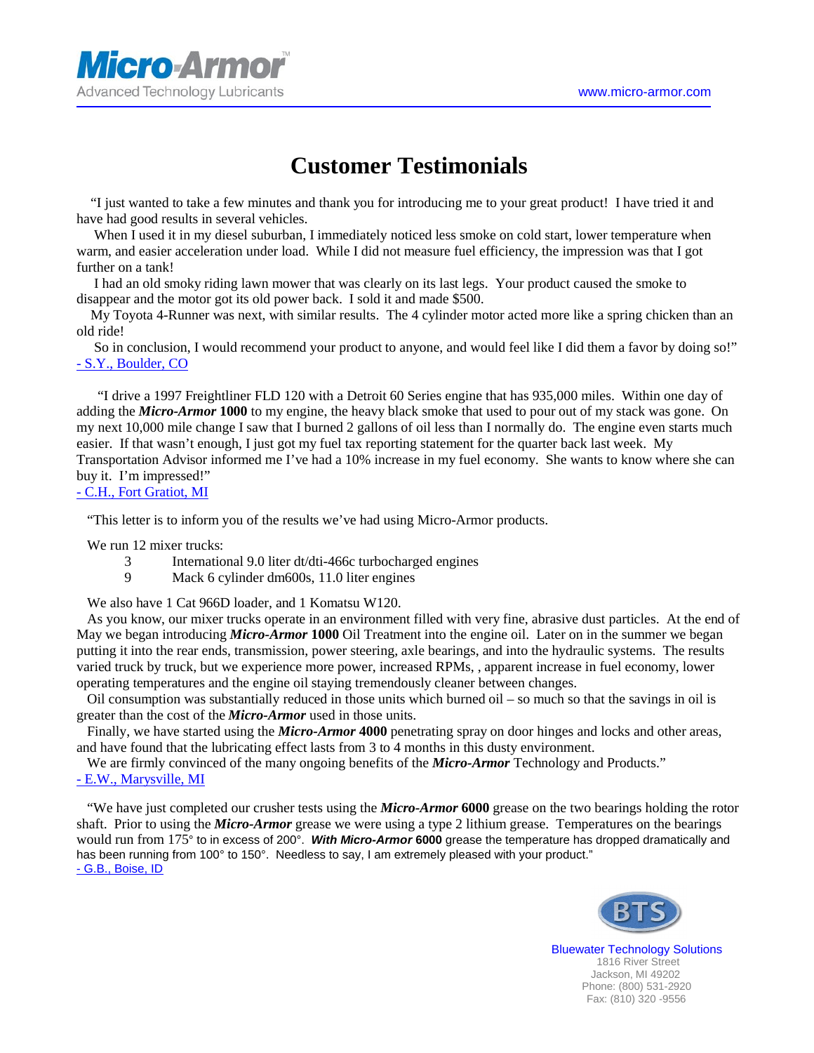

## **Customer Testimonials**

 "I just wanted to take a few minutes and thank you for introducing me to your great product! I have tried it and have had good results in several vehicles.

When I used it in my diesel suburban, I immediately noticed less smoke on cold start, lower temperature when warm, and easier acceleration under load. While I did not measure fuel efficiency, the impression was that I got further on a tank!

 I had an old smoky riding lawn mower that was clearly on its last legs. Your product caused the smoke to disappear and the motor got its old power back. I sold it and made \$500.

 My Toyota 4-Runner was next, with similar results. The 4 cylinder motor acted more like a spring chicken than an old ride!

 So in conclusion, I would recommend your product to anyone, and would feel like I did them a favor by doing so!" - S.Y., Boulder, CO

 "I drive a 1997 Freightliner FLD 120 with a Detroit 60 Series engine that has 935,000 miles. Within one day of adding the *Micro-Armor* **1000** to my engine, the heavy black smoke that used to pour out of my stack was gone. On my next 10,000 mile change I saw that I burned 2 gallons of oil less than I normally do. The engine even starts much easier. If that wasn't enough, I just got my fuel tax reporting statement for the quarter back last week. My Transportation Advisor informed me I've had a 10% increase in my fuel economy. She wants to know where she can buy it. I'm impressed!"

## - C.H., Fort Gratiot, MI

"This letter is to inform you of the results we've had using Micro-Armor products.

We run 12 mixer trucks:

- 3 International 9.0 liter dt/dti-466c turbocharged engines
- 9 Mack 6 cylinder dm600s, 11.0 liter engines

We also have 1 Cat 966D loader, and 1 Komatsu W120.

 As you know, our mixer trucks operate in an environment filled with very fine, abrasive dust particles. At the end of May we began introducing *Micro-Armor* **1000** Oil Treatment into the engine oil. Later on in the summer we began putting it into the rear ends, transmission, power steering, axle bearings, and into the hydraulic systems. The results varied truck by truck, but we experience more power, increased RPMs, , apparent increase in fuel economy, lower operating temperatures and the engine oil staying tremendously cleaner between changes.

 Oil consumption was substantially reduced in those units which burned oil – so much so that the savings in oil is greater than the cost of the *Micro-Armor* used in those units.

 Finally, we have started using the *Micro-Armor* **4000** penetrating spray on door hinges and locks and other areas, and have found that the lubricating effect lasts from 3 to 4 months in this dusty environment.

 We are firmly convinced of the many ongoing benefits of the *Micro-Armor* Technology and Products." - E.W., Marysville, MI

 "We have just completed our crusher tests using the *Micro-Armor* **6000** grease on the two bearings holding the rotor shaft. Prior to using the *Micro-Armor* grease we were using a type 2 lithium grease. Temperatures on the bearings would run from 175° to in excess of 200°. *With Micro-Armor* **6000** grease the temperature has dropped dramatically and has been running from 100° to 150°. Needless to say, I am extremely pleased with your product." - G.B., Boise, ID



 Bluewater Technology Solutions 1816 River Street Jackson, MI 49202 Phone: (800) 531-2920 Fax: (810) 320 -9556